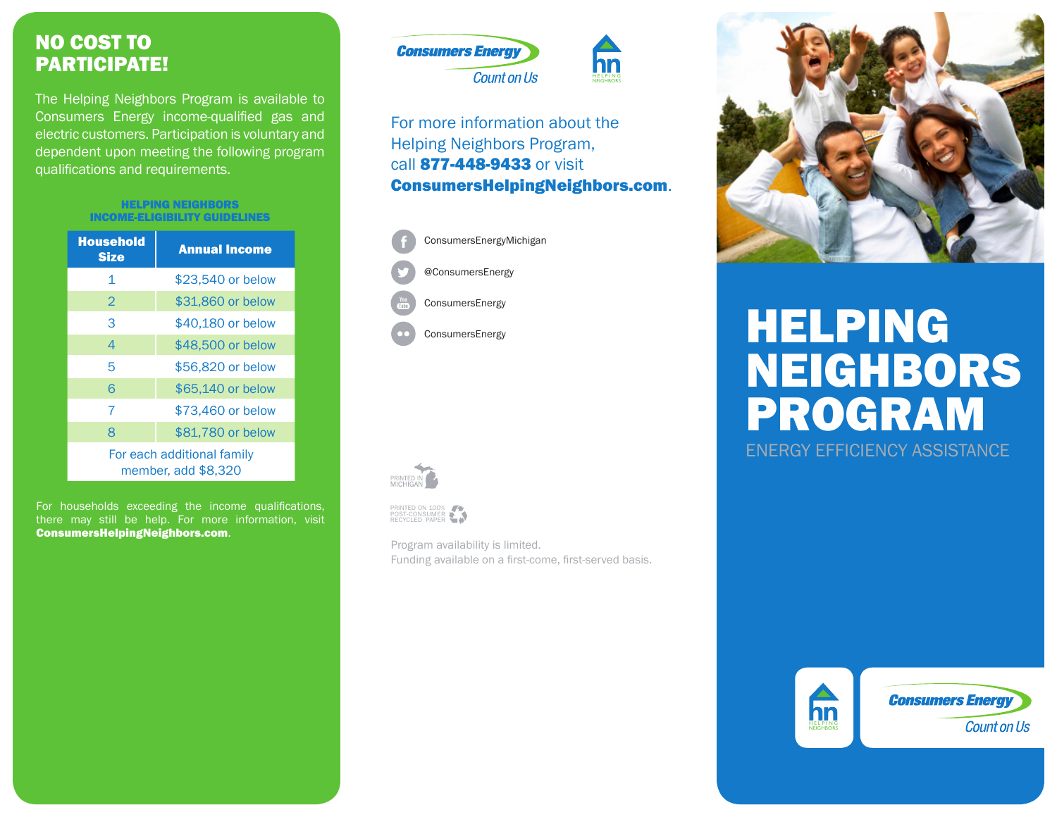### NO COST TO PARTICIPATE!

The Helping Neighbors Program is available to Consumers Energy income-qualified gas and electric customers. Participation is voluntary and dependent upon meeting the following program qualifications and requirements.

#### HELPING NEIGHBORS INCOME-ELIGIBILITY GUIDELINES

| <b>Household</b><br><b>Size</b>                   | <b>Annual Income</b> |
|---------------------------------------------------|----------------------|
| 1                                                 | \$23,540 or below    |
| $\mathcal{P}$                                     | \$31,860 or below    |
| 3                                                 | \$40,180 or below    |
| 4                                                 | \$48,500 or below    |
| 5                                                 | \$56,820 or below    |
| 6                                                 | \$65,140 or below    |
| 7                                                 | \$73,460 or below    |
| 8                                                 | \$81,780 or below    |
| For each additional family<br>member, add \$8,320 |                      |

For households exceeding the income qualifications, there may still be help. For more information, visit ConsumersHelpingNeighbors.com.



### For more information about the Helping Neighbors Program, call 877-448-9433 or visit ConsumersHelpingNeighbors.com.

HELPING





## HELPING NEIGHBORS PROGRAM ENERGY EFFICIENCY ASSISTANCE



PRINTED ON 100% POST-CONSUMER RECYCLED PAPER

Program availability is limited. Funding available on a first-come, first-served basis.